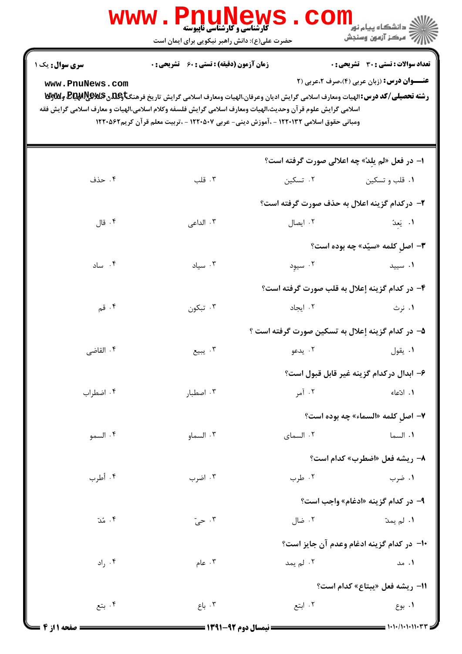|                                   | <b>WWW</b><br><b>کارشناسی و کارشناسی ناپیوسته</b><br>حضرت علی(ع): دانش راهبر نیکویی برای ایمان است                                                                                                                                                                                                                                                                                      |           | <mark>ک</mark> دانشگاه پیام نو <mark>ر</mark><br>ب آمرڪز آزمون وسنڊش                              |
|-----------------------------------|-----------------------------------------------------------------------------------------------------------------------------------------------------------------------------------------------------------------------------------------------------------------------------------------------------------------------------------------------------------------------------------------|-----------|---------------------------------------------------------------------------------------------------|
| سری سوال: یک ۱<br>www.PnuNews.com | <b>زمان آزمون (دقیقه) : تستی : 60 ٪ تشریحی : 0</b><br>رشته تحصیلی/کد درس: الهیات ومعارف اسلامی گرایش ادیان وعرفان،الهیات ومعارف اسلامی گرایش تاریخ فرهنگتاوعلاق&یکیهای@یا&ییکای<br>اسلامى گرايش علوم قر آن وحديث،الهيات ومعارف اسلامى گرايش فلسفه وكلام اسلامى،الهيات و معارف اسلامى گرايش فقه<br>ومبانی حقوق اسلامی ۱۲۲۰۱۳۲ - ،آموزش دینی- عربی ۱۲۲۰۵۰۷ - ،تربیت معلم قرآن کریم۱۲۲۰۵۶۲ |           | <b>تعداد سوالات : تستی : 30 ٪ تشریحی : 0</b><br><b>عنـــوان درس:</b> (زبان عربی (۴)،صرف ۲،عربی (۲ |
|                                   |                                                                                                                                                                                                                                                                                                                                                                                         |           | ا– در فعل «لم یلدْ» چه اعلالی صورت گرفته است؟                                                     |
| ۰۴ حذف                            | ۰۳ قلب                                                                                                                                                                                                                                                                                                                                                                                  | ۰۲ تسکین  | ۰۱ قلب و تسکین                                                                                    |
|                                   |                                                                                                                                                                                                                                                                                                                                                                                         |           | ۲– درکدام گزینه اعلال به حذف صورت گرفته است؟                                                      |
| ۰۴ قال                            | ۰۳ الداعی                                                                                                                                                                                                                                                                                                                                                                               |           | ٠١ يَعِدُ ١. يعيدُ - ٢. ايصال                                                                     |
|                                   |                                                                                                                                                                                                                                                                                                                                                                                         |           | <b>۳</b> - اصل کلمه «سیّد» چه بوده است؟                                                           |
| ۰۴ ساد                            | $\cdot$ ۳ سیاد                                                                                                                                                                                                                                                                                                                                                                          |           | ۰۱ سیید کا تاریخ به میود .۲                                                                       |
|                                   |                                                                                                                                                                                                                                                                                                                                                                                         |           | ۴– در کدام گزینه إعلال به قلب صورت گرفته است؟                                                     |
| ۰۴ قم                             | ۰۳ تبکون                                                                                                                                                                                                                                                                                                                                                                                | ۰۲ ایجاد  | ۰۱ نرث                                                                                            |
|                                   |                                                                                                                                                                                                                                                                                                                                                                                         |           | ۵– در کدام گزینه إعلال به تسکین صورت گرفته است ؟                                                  |
| ۰۴ القاضی                         | ۰۳ يبيع                                                                                                                                                                                                                                                                                                                                                                                 | ۰۲ يدعو   | ۰۱ يقول                                                                                           |
|                                   |                                                                                                                                                                                                                                                                                                                                                                                         |           | ۶– ابدال دركدام گزينه غير قابل قبول است؟                                                          |
| ۰۴ اضطراب                         | ۰۳ اصطبار                                                                                                                                                                                                                                                                                                                                                                               | ۰۲ آمر    | ۰۱ ادّعاء                                                                                         |
|                                   |                                                                                                                                                                                                                                                                                                                                                                                         |           | <b>٧- اصل کلمه «السماء» چه بوده است؟</b>                                                          |
| ۰۴ السمو                          | ۰۳ السماو                                                                                                                                                                                                                                                                                                                                                                               | ۰۲ السمای | ٠١. السما                                                                                         |
|                                   |                                                                                                                                                                                                                                                                                                                                                                                         |           | <b>٨- ريشه فعل «اضطرب» كدام است؟</b>                                                              |
| ۰۴ أطرب                           | ۰۳ اضرب                                                                                                                                                                                                                                                                                                                                                                                 | ۰۲ طرب    | ۰۱ ضرب                                                                                            |
|                                   |                                                                                                                                                                                                                                                                                                                                                                                         |           | <b>۹-</b> در کدام گزینه «ادغام» واجب است؟                                                         |
| ۰۴ مُدّ                           | ۰۳ حيّ                                                                                                                                                                                                                                                                                                                                                                                  | ۰۲ ضال    | <b>۱.</b> لم يمدّ                                                                                 |
|                                   |                                                                                                                                                                                                                                                                                                                                                                                         |           | ∙ا− در کدام گزینه ادغام وعدم آن جایز است؟                                                         |
| ۰۴ راد                            | ۰۳ عام $\mathbf{r}$                                                                                                                                                                                                                                                                                                                                                                     | ۰۲ لم یمد | ۰۱ مد                                                                                             |
|                                   |                                                                                                                                                                                                                                                                                                                                                                                         |           | 11– ريشه فعل «يبتاع» كدام است؟                                                                    |
| ۰۴ بتع                            | ۰۳ باع                                                                                                                                                                                                                                                                                                                                                                                  | ۰۲ ابتع   | ۰۱ بوع                                                                                            |
|                                   |                                                                                                                                                                                                                                                                                                                                                                                         |           |                                                                                                   |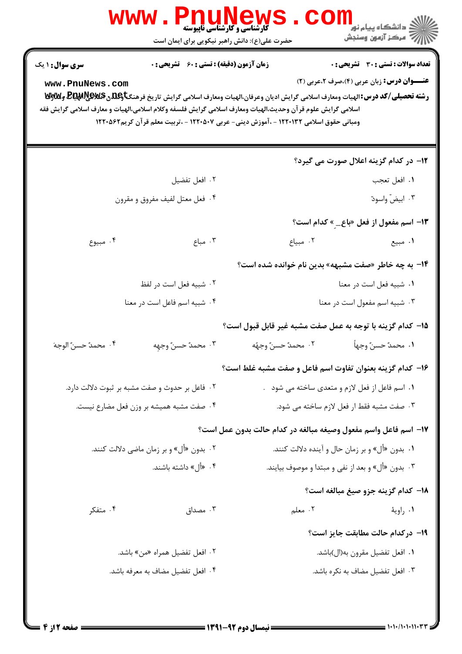| <b>تعداد سوالات : تستی : 30 ٪ تشریحی : 0</b>                                                                                                                                                                                                                                                                                                                                                 | <b>زمان آزمون (دقیقه) : تستی : 60 ٪ تشریحی : 0</b> |                                                | سری سوال: ۱ یک       |  |
|----------------------------------------------------------------------------------------------------------------------------------------------------------------------------------------------------------------------------------------------------------------------------------------------------------------------------------------------------------------------------------------------|----------------------------------------------------|------------------------------------------------|----------------------|--|
| <b>عنـــوان درس:</b> زبان عربی (۴)،صرف ۲،عربی (۲)<br>رشته تحصیلی/کد درس: الهیات ومعارف اسلامی گرایش ادیان وعرفان،الهیات ومعارف اسلامی گرایش تاریخ فرهنگتاویلگی Bلیکاپیلایالآلاویلایا<br>اسلامی گرایش علوم قر آن وحدیث،الهیات ومعارف اسلامی گرایش فلسفه وکلام اسلامی،الهیات و معارف اسلامی گرایش فقه<br>ومبانی حقوق اسلامی ۱۲۲۰۱۳۲ - ،آموزش دینی- عربی ۱۲۲۰۵۰۷ - ،تربیت معلم قرآن کریم۱۲۲۰۵۶۲ |                                                    |                                                | www.PnuNews.com      |  |
| 1۲– در کدام گزینه اعلال صورت می گیرد؟                                                                                                                                                                                                                                                                                                                                                        |                                                    |                                                |                      |  |
| ١. افعل تعجب                                                                                                                                                                                                                                                                                                                                                                                 |                                                    | ٠٢ افعل تفضيل                                  |                      |  |
| ۰۳ ابیضّ واسودّ                                                                                                                                                                                                                                                                                                                                                                              |                                                    | ۰۴ فعل معتل لفيف مفروق و مقرون                 |                      |  |
| ۱۳– اسم مفعول از فعل «باع_ <sub>_</sub> » کدام است؟                                                                                                                                                                                                                                                                                                                                          |                                                    |                                                |                      |  |
| ۰۲ مبياع<br>۰۱ مبیع                                                                                                                                                                                                                                                                                                                                                                          | ۰۳ مباع                                            |                                                | ۰۴ مبيوع             |  |
| ۱۴– به چه خاطر «صفت مشبهه» بدین نام خوانده شده است؟                                                                                                                                                                                                                                                                                                                                          |                                                    |                                                |                      |  |
| ۰۱ شبیه فعل است در معنا                                                                                                                                                                                                                                                                                                                                                                      |                                                    | ٠٢ شبيه فعل است در لفظ                         |                      |  |
| ۰۳ شبیه اسم مفعول است در معنا                                                                                                                                                                                                                                                                                                                                                                |                                                    | ۰۴ شبیه اسم فاعل است در معنا                   |                      |  |
| 1۵– کدام گزینه با توجه به عمل صفت مشبه غیر قابل قبول است؟                                                                                                                                                                                                                                                                                                                                    |                                                    |                                                |                      |  |
| ٠٢ محمدٌ حسنٌ وجهُه<br>١. محمدٌ حسنٌ وجهاً                                                                                                                                                                                                                                                                                                                                                   |                                                    | ٠٣ محمدٌ حسنٌ وجهه                             | ۰۴ محمدٌ حسنٌ الوجهَ |  |
| ۱۶– کدام گزینه بعنوان تفاوت اسم فاعل و صفت مشبه غلط است؟                                                                                                                                                                                                                                                                                                                                     |                                                    |                                                |                      |  |
| ۰۱ اسم فاعل از فعل لازم و متعدی ساخته می شود .                                                                                                                                                                                                                                                                                                                                               |                                                    | ۰۲ فاعل بر حدوث و صفت مشبه بر ثبوت دلالت دارد. |                      |  |
| ۰۳ صفت مشبه فقط ار فعل لازم ساخته می شود.                                                                                                                                                                                                                                                                                                                                                    |                                                    | ۰۴ صفت مشبه همیشه بر وزن فعل مضارع نیست.       |                      |  |
| ١٧- اسم فاعل واسم مفعول وصيغه مبالغه در كدام حالت بدون عمل است؟                                                                                                                                                                                                                                                                                                                              |                                                    |                                                |                      |  |
| ۰۱ بدون «أل» و بر زمان حال و آینده دلالت کنند.                                                                                                                                                                                                                                                                                                                                               |                                                    | ۰۲ بدون «أل» و بر زمان ماضي دلالت كنند.        |                      |  |
| ۰۳ بدون «أل» و بعد از نفي و مبتدا و موصوف بيايند.                                                                                                                                                                                                                                                                                                                                            |                                                    | ۰۴ «أل» داشته باشند.                           |                      |  |
| 18– كدام گزينه جزو صيغ مبالغه است؟                                                                                                                                                                                                                                                                                                                                                           |                                                    |                                                |                      |  |
| ۰۲ معلم<br>۰۱ راويهٔ                                                                                                                                                                                                                                                                                                                                                                         | ۰۳ مصداق                                           |                                                | ۰۴ متفکر             |  |
| ۱۹– درکدام حالت مطابقت جایز است؟                                                                                                                                                                                                                                                                                                                                                             |                                                    |                                                |                      |  |
| ۰۱ افعل تفضیل مقرون به(ال)باشد.                                                                                                                                                                                                                                                                                                                                                              |                                                    | ۰۲ افعل تفضیل همراه «من» باشد.                 |                      |  |
|                                                                                                                                                                                                                                                                                                                                                                                              |                                                    | ۰۴ افعل تفضيل مضاف به معرفه باشد.              |                      |  |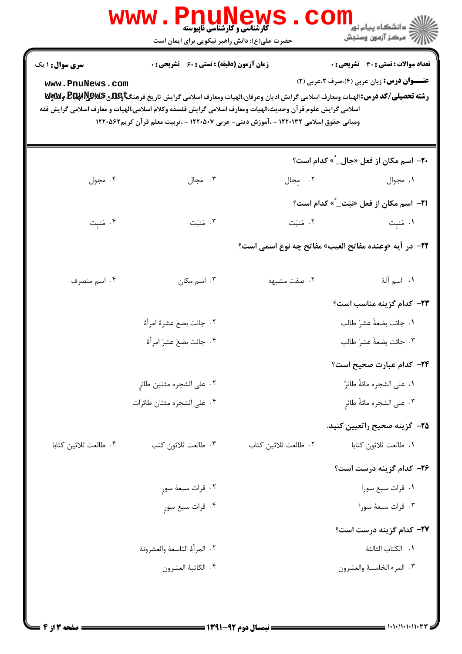|                                                                                                                                                                                                                                                                                | <b>گارشناسی و کارشناسی ناپیوسته</b><br>حضرت علی(ع): دانش راهبر نیکویی برای ایمان است |                                                                                       | .<br>د انشگاه پيام نور<br>بَ ۖ مرڪز آزمون وسنڊش                                                   |
|--------------------------------------------------------------------------------------------------------------------------------------------------------------------------------------------------------------------------------------------------------------------------------|--------------------------------------------------------------------------------------|---------------------------------------------------------------------------------------|---------------------------------------------------------------------------------------------------|
| سری سوال: ۱ یک<br>www.PnuNews.com<br>رشته تحصیلی/کد درس:الهیات ومعارف اسلامی گرایش ادیان وعرفان،الهیات ومعارف اسلامی گرایش تاریخ فرهنگتاویلهی لایکلیلهای ویلایی<br>اسلامي گرايش علوم قر آن وحديث،الهيات ومعارف اسلامي گرايش فلسفه وكلام اسلامي،الهيات و معارف اسلامي گرايش فقه | <b>زمان آزمون (دقیقه) : تستی : 60 ٪ تشریحی : 0</b>                                   | ومبانی حقوق اسلامی ۱۲۲۰۱۳۲ - ،آموزش دینی- عربی ۱۲۲۰۵۰۷ - ،تربیت معلم قرآن کریم۱۲۲۰۵۶۲ | <b>تعداد سوالات : تستی : 30 ٪ تشریحی : 0</b><br><b>عنـــوان درس:</b> زبان عربی (۴)،صرف ۲،عربی (۲) |
|                                                                                                                                                                                                                                                                                |                                                                                      |                                                                                       | <b>۲۰</b> - اسم مکان از فعل «جال_ٌ» کدام است؟                                                     |
| ۰۴ مجوّل                                                                                                                                                                                                                                                                       | ۰۳ مَجال                                                                             | ٢. مجال                                                                               | ۰۱ مجوال                                                                                          |
|                                                                                                                                                                                                                                                                                |                                                                                      |                                                                                       | <b>٣١-</b> اسم مكان از فعل «نبَت_ٌ» كدام است؟                                                     |
| ۰۴ مَنبِت                                                                                                                                                                                                                                                                      | ۰۳ مَنبَت                                                                            | ٢. مُنبَت                                                                             | ۰۱ مُنبِت                                                                                         |
|                                                                                                                                                                                                                                                                                |                                                                                      |                                                                                       | <b>٢٢</b> - در آيه «وعنده مفاتح الغيب» مفاتح چه نوع اسمي است؟                                     |
| ۰۴ اسم منصرف                                                                                                                                                                                                                                                                   | ۰۳ اسم مکان                                                                          | ۰۲ صفت مشبهه                                                                          | <b>۱.</b> اسم آلهٔ                                                                                |
|                                                                                                                                                                                                                                                                                |                                                                                      |                                                                                       | ۲۳- کدام گزینه مناسب است؟                                                                         |
|                                                                                                                                                                                                                                                                                | ٠٢ جائت بضعَ عشرةَ امرأة                                                             |                                                                                       | ٠١ جائت بضعةُ عشرُ طالب                                                                           |
|                                                                                                                                                                                                                                                                                | ۰۴ جائت بضعَ عشرَ امرأة                                                              |                                                                                       | ٠٣ جائت بضعةً عشرَ طالب                                                                           |
|                                                                                                                                                                                                                                                                                |                                                                                      |                                                                                       | ۲۴– کدام عبارت صحیح است؟                                                                          |
|                                                                                                                                                                                                                                                                                | ٠٢ على الشجره مئتين طائرٍ                                                            |                                                                                       | ٠١ على الشجره مائةُ طائرٌ                                                                         |
|                                                                                                                                                                                                                                                                                | ۰۴ على الشجره مئتان طائرات                                                           |                                                                                       | ٠٣ على الشجره مائةً طائرِ                                                                         |
|                                                                                                                                                                                                                                                                                |                                                                                      |                                                                                       | <b>۲۵</b> – گزینه صحیح راتعیین کنید.                                                              |
| ۰۴ طالعت ثلاثين كتابا                                                                                                                                                                                                                                                          | ۰۳ طالعت ثلاثون كتب                                                                  | ٠٢ طالعت ثلاثين كتاب                                                                  | ٠١ طالعت ثلاثون كتابا                                                                             |
|                                                                                                                                                                                                                                                                                |                                                                                      |                                                                                       | ۲۶– کدام گزینه درست است؟                                                                          |
|                                                                                                                                                                                                                                                                                | ۰۲ قرات سبعهٔ سورِ                                                                   |                                                                                       | ۰۱ قرات سبع سورا                                                                                  |
|                                                                                                                                                                                                                                                                                | ۰۴ قرات سبع سورٍ                                                                     |                                                                                       | ۰۳ قرات سبعهٔ سورا                                                                                |
|                                                                                                                                                                                                                                                                                |                                                                                      |                                                                                       | ۲۷– کدام گزینه درست است؟                                                                          |
|                                                                                                                                                                                                                                                                                | ٠٢ المرأة التاسعة والعشرونة                                                          |                                                                                       | ٠١. الكتاب الثالثة                                                                                |
|                                                                                                                                                                                                                                                                                | ۰۴ الكاتبهٔ العشرون                                                                  |                                                                                       | ٠٣ المرء الخامسة والعشرون                                                                         |